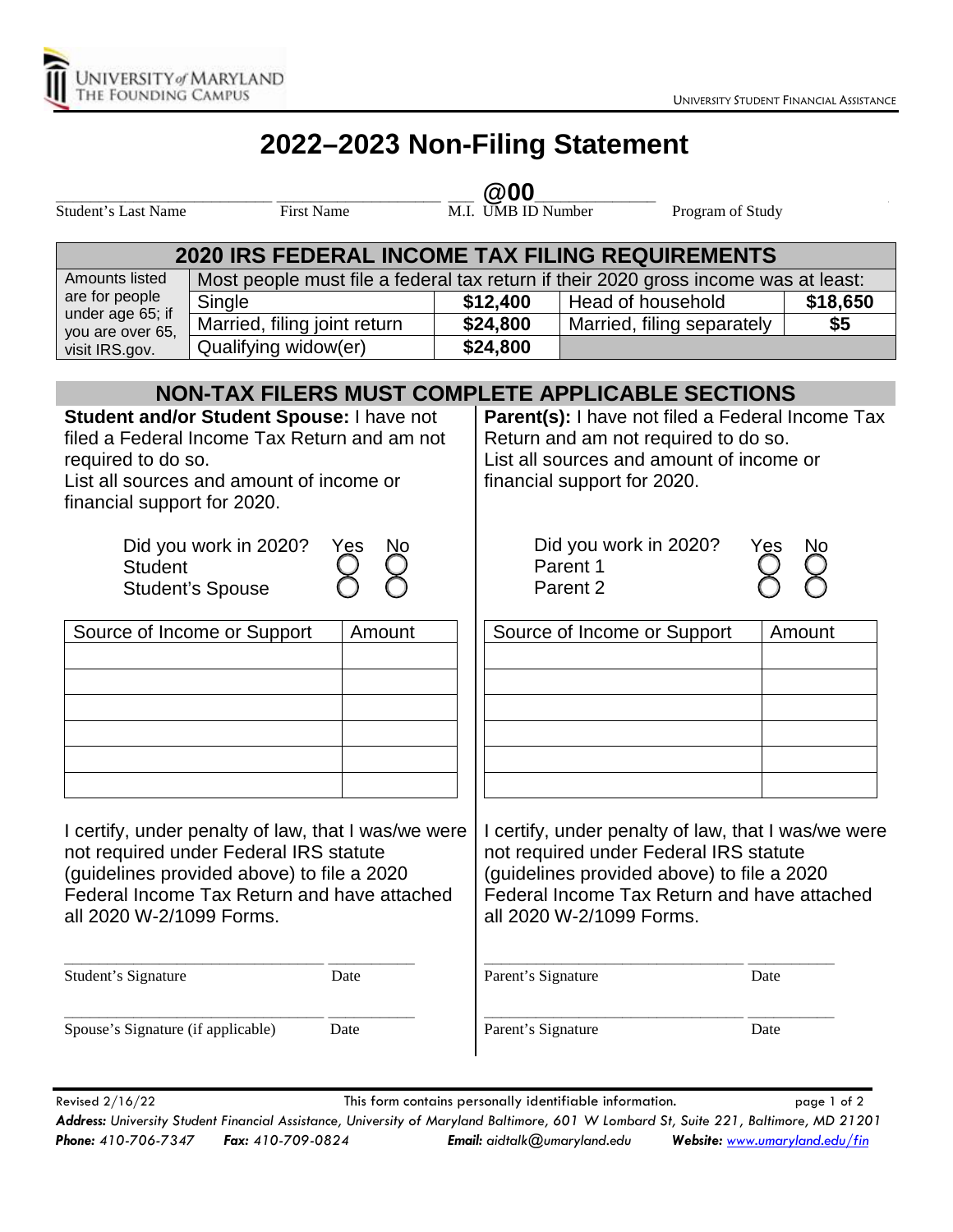## **2022–2023 Non-Filing Statement**

## **\_\_\_\_\_\_\_\_\_\_\_\_\_\_\_\_\_\_\_\_\_\_\_\_\_ \_\_\_\_\_\_\_\_\_\_\_\_\_\_\_\_\_\_\_ \_\_\_ @00\_\_\_\_\_\_\_\_\_\_\_\_\_\_ \_\_\_\_\_\_\_\_\_\_\_\_\_\_\_\_\_\_\_\_\_\_\_\_\_**

Student's Last Name First Name First Name M.I. UMB ID Number Program of Study

| <b>2020 IRS FEDERAL INCOME TAX FILING REQUIREMENTS</b>                                                                                                                                                                 |                                       |  |                                                                                                                                                                                                                        |                             |          |  |  |
|------------------------------------------------------------------------------------------------------------------------------------------------------------------------------------------------------------------------|---------------------------------------|--|------------------------------------------------------------------------------------------------------------------------------------------------------------------------------------------------------------------------|-----------------------------|----------|--|--|
| Amounts listed                                                                                                                                                                                                         |                                       |  | Most people must file a federal tax return if their 2020 gross income was at least:                                                                                                                                    |                             |          |  |  |
| are for people<br>under age 65; if<br>you are over 65,<br>visit IRS.gov.                                                                                                                                               | Single                                |  | \$12,400                                                                                                                                                                                                               | Head of household           | \$18,650 |  |  |
|                                                                                                                                                                                                                        | Married, filing joint return          |  | \$24,800                                                                                                                                                                                                               | Married, filing separately  | \$5      |  |  |
|                                                                                                                                                                                                                        | Qualifying widow(er)                  |  | \$24,800                                                                                                                                                                                                               |                             |          |  |  |
|                                                                                                                                                                                                                        |                                       |  |                                                                                                                                                                                                                        |                             |          |  |  |
| <b>NON-TAX FILERS MUST COMPLETE APPLICABLE SECTIONS</b>                                                                                                                                                                |                                       |  |                                                                                                                                                                                                                        |                             |          |  |  |
| Student and/or Student Spouse: I have not<br>filed a Federal Income Tax Return and am not<br>required to do so.<br>List all sources and amount of income or<br>financial support for 2020.                             |                                       |  | Parent(s): I have not filed a Federal Income Tax<br>Return and am not required to do so.<br>List all sources and amount of income or<br>financial support for 2020.                                                    |                             |          |  |  |
| Did you work in 2020?<br>Yes<br><b>Student</b><br><b>Student's Spouse</b>                                                                                                                                              |                                       |  | Did you work in 2020?<br>Yes<br>Parent 1<br>Parent 2                                                                                                                                                                   |                             |          |  |  |
|                                                                                                                                                                                                                        | Source of Income or Support<br>Amount |  |                                                                                                                                                                                                                        | Source of Income or Support | Amount   |  |  |
| I certify, under penalty of law, that I was/we were<br>not required under Federal IRS statute<br>(guidelines provided above) to file a 2020<br>Federal Income Tax Return and have attached<br>all 2020 W-2/1099 Forms. |                                       |  | I certify, under penalty of law, that I was/we were<br>not required under Federal IRS statute<br>(guidelines provided above) to file a 2020<br>Federal Income Tax Return and have attached<br>all 2020 W-2/1099 Forms. |                             |          |  |  |

Student's Signature Date

**\_\_\_\_\_\_\_\_\_\_\_\_\_\_\_\_\_\_\_\_\_\_\_\_\_\_\_\_\_\_ \_\_\_\_\_\_\_\_\_\_**

Spouse's Signature (if applicable) Date

**\_\_\_\_\_\_\_\_\_\_\_\_\_\_\_\_\_\_\_\_\_\_\_\_\_\_\_\_\_\_ \_\_\_\_\_\_\_\_\_\_**

**\_\_\_\_\_\_\_\_\_\_\_\_\_\_\_\_\_\_\_\_\_\_\_\_\_\_\_\_\_\_ \_\_\_\_\_\_\_\_\_\_** Parent's Signature Date **\_\_\_\_\_\_\_\_\_\_\_\_\_\_\_\_\_\_\_\_\_\_\_\_\_\_\_\_\_\_ \_\_\_\_\_\_\_\_\_\_** Parent's Signature Date